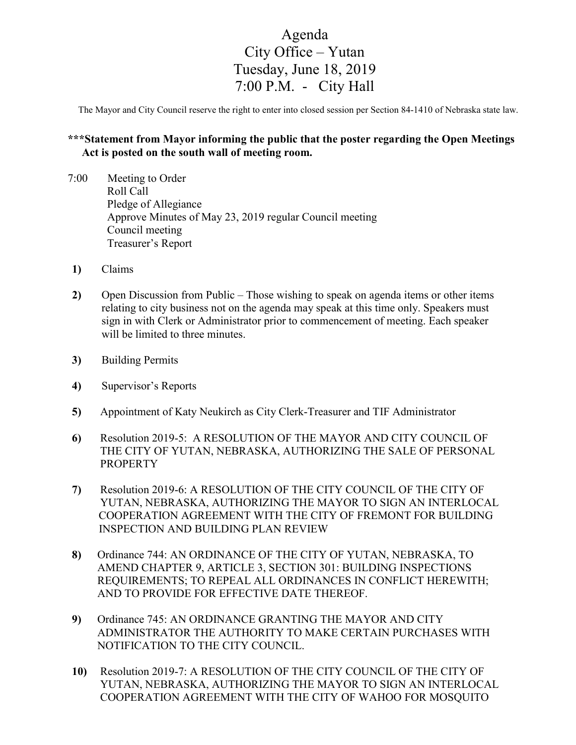## Agenda City Office – Yutan Tuesday, June 18, 2019 7:00 P.M. - City Hall

The Mayor and City Council reserve the right to enter into closed session per Section 84-1410 of Nebraska state law.

## **\*\*\*Statement from Mayor informing the public that the poster regarding the Open Meetings Act is posted on the south wall of meeting room.**

- 7:00 Meeting to Order Roll Call Pledge of Allegiance Approve Minutes of May 23, 2019 regular Council meeting Council meeting Treasurer's Report
- **1)** Claims
- **2)** Open Discussion from Public Those wishing to speak on agenda items or other items relating to city business not on the agenda may speak at this time only. Speakers must sign in with Clerk or Administrator prior to commencement of meeting. Each speaker will be limited to three minutes.
- **3)** Building Permits
- **4)** Supervisor's Reports
- **5)** Appointment of Katy Neukirch as City Clerk-Treasurer and TIF Administrator
- **6)** Resolution 2019-5: A RESOLUTION OF THE MAYOR AND CITY COUNCIL OF THE CITY OF YUTAN, NEBRASKA, AUTHORIZING THE SALE OF PERSONAL PROPERTY
- **7)** Resolution 2019-6: A RESOLUTION OF THE CITY COUNCIL OF THE CITY OF YUTAN, NEBRASKA, AUTHORIZING THE MAYOR TO SIGN AN INTERLOCAL COOPERATION AGREEMENT WITH THE CITY OF FREMONT FOR BUILDING INSPECTION AND BUILDING PLAN REVIEW
- **8)** Ordinance 744: AN ORDINANCE OF THE CITY OF YUTAN, NEBRASKA, TO AMEND CHAPTER 9, ARTICLE 3, SECTION 301: BUILDING INSPECTIONS REQUIREMENTS; TO REPEAL ALL ORDINANCES IN CONFLICT HEREWITH; AND TO PROVIDE FOR EFFECTIVE DATE THEREOF.
- **9)** Ordinance 745: AN ORDINANCE GRANTING THE MAYOR AND CITY ADMINISTRATOR THE AUTHORITY TO MAKE CERTAIN PURCHASES WITH NOTIFICATION TO THE CITY COUNCIL.
- **10)** Resolution 2019-7: A RESOLUTION OF THE CITY COUNCIL OF THE CITY OF YUTAN, NEBRASKA, AUTHORIZING THE MAYOR TO SIGN AN INTERLOCAL COOPERATION AGREEMENT WITH THE CITY OF WAHOO FOR MOSQUITO